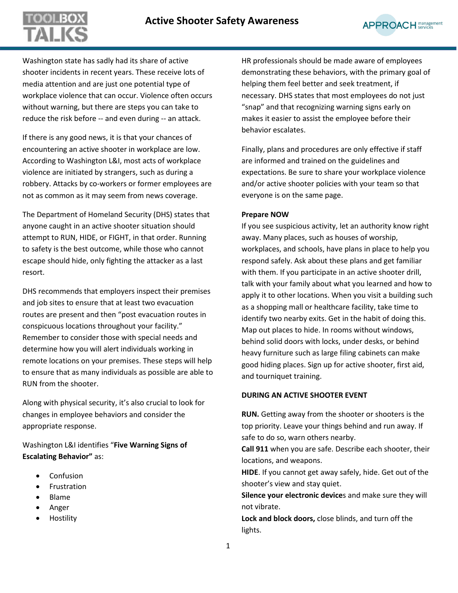# **Active Shooter Safety Awareness**



Washington state has sadly had its share of active shooter incidents in recent years. These receive lots of media attention and are just one potential type of workplace violence that can occur. Violence often occurs without warning, but there are steps you can take to reduce the risk before -- and even during -- an attack.

L

If there is any good news, it is that your chances of encountering an active shooter in workplace are low. According to Washington L&I, most acts of workplace violence are initiated by strangers, such as during a robbery. Attacks by co-workers or former employees are not as common as it may seem from news coverage.

The Department of Homeland Security (DHS) states that anyone caught in an active shooter situation should attempt to RUN, HIDE, or FIGHT, in that order. Running to safety is the best outcome, while those who cannot escape should hide, only fighting the attacker as a last resort.

DHS recommends that employers inspect their premises and job sites to ensure that at least two evacuation routes are present and then "post evacuation routes in conspicuous locations throughout your facility." Remember to consider those with special needs and determine how you will alert individuals working in remote locations on your premises. These steps will help to ensure that as many individuals as possible are able to RUN from the shooter.

Along with physical security, it's also crucial to look for changes in employee behaviors and consider the appropriate response.

Washington L&I identifies "**Five Warning Signs of Escalating Behavior"** as:

- Confusion
- Frustration
- Blame
- Anger
- Hostility

HR professionals should be made aware of employees demonstrating these behaviors, with the primary goal of helping them feel better and seek treatment, if necessary. DHS states that most employees do not just "snap" and that recognizing warning signs early on makes it easier to assist the employee before their behavior escalates.

Finally, plans and procedures are only effective if staff are informed and trained on the guidelines and expectations. Be sure to share your workplace violence and/or active shooter policies with your team so that everyone is on the same page.

#### **Prepare NOW**

If you see suspicious activity, let an authority know right away. Many places, such as houses of worship, workplaces, and schools, have plans in place to help you respond safely. Ask about these plans and get familiar with them. If you participate in an active shooter drill, talk with your family about what you learned and how to apply it to other locations. When you visit a building such as a shopping mall or healthcare facility, take time to identify two nearby exits. Get in the habit of doing this. Map out places to hide. In rooms without windows, behind solid doors with locks, under desks, or behind heavy furniture such as large filing cabinets can make good hiding places. Sign up for active shooter, first aid, and tourniquet training.

### **DURING AN ACTIVE SHOOTER EVENT**

**RUN.** Getting away from the shooter or shooters is the top priority. Leave your things behind and run away. If safe to do so, warn others nearby.

**Call 911** when you are safe. Describe each shooter, their locations, and weapons.

**HIDE**. If you cannot get away safely, hide. Get out of the shooter's view and stay quiet.

**Silence your electronic device**s and make sure they will not vibrate.

**Lock and block doors,** close blinds, and turn off the lights.